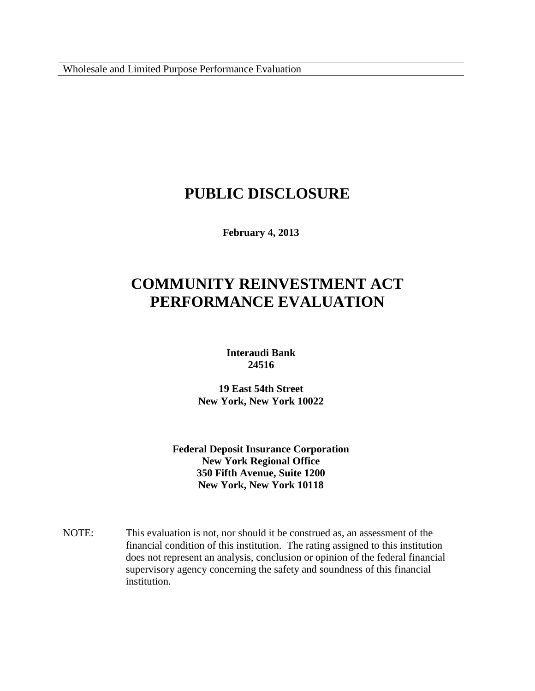Wholesale and Limited Purpose Performance Evaluation

# **PUBLIC DISCLOSURE**

**February 4, 2013**

# **COMMUNITY REINVESTMENT ACT PERFORMANCE EVALUATION**

**Interaudi Bank 24516**

**19 East 54th Street New York, New York 10022**

**Federal Deposit Insurance Corporation New York Regional Office 350 Fifth Avenue, Suite 1200 New York, New York 10118**

NOTE: This evaluation is not, nor should it be construed as, an assessment of the financial condition of this institution. The rating assigned to this institution does not represent an analysis, conclusion or opinion of the federal financial supervisory agency concerning the safety and soundness of this financial institution.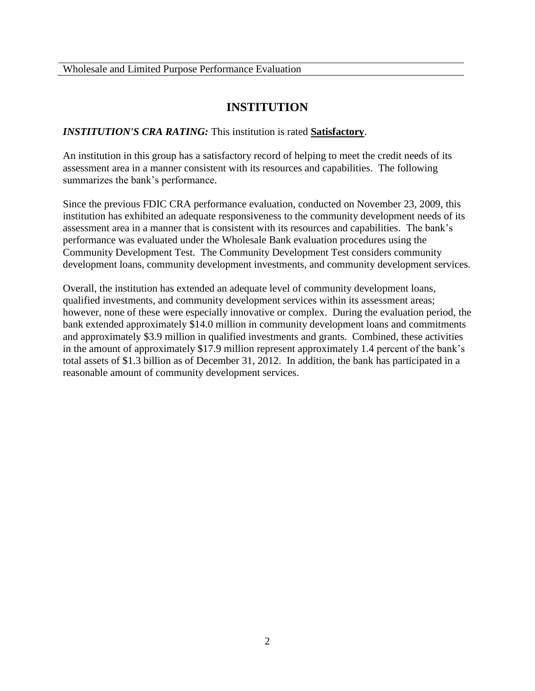## **INSTITUTION**

### *INSTITUTION'S CRA RATING:* This institution is rated **Satisfactory**.

An institution in this group has a satisfactory record of helping to meet the credit needs of its assessment area in a manner consistent with its resources and capabilities. The following summarizes the bank's performance.

Since the previous FDIC CRA performance evaluation, conducted on November 23, 2009, this institution has exhibited an adequate responsiveness to the community development needs of its assessment area in a manner that is consistent with its resources and capabilities. The bank's performance was evaluated under the Wholesale Bank evaluation procedures using the Community Development Test. The Community Development Test considers community development loans, community development investments, and community development services.

Overall, the institution has extended an adequate level of community development loans, qualified investments, and community development services within its assessment areas; however, none of these were especially innovative or complex. During the evaluation period, the bank extended approximately \$14.0 million in community development loans and commitments and approximately \$3.9 million in qualified investments and grants. Combined, these activities in the amount of approximately \$17.9 million represent approximately 1.4 percent of the bank's total assets of \$1.3 billion as of December 31, 2012. In addition, the bank has participated in a reasonable amount of community development services.